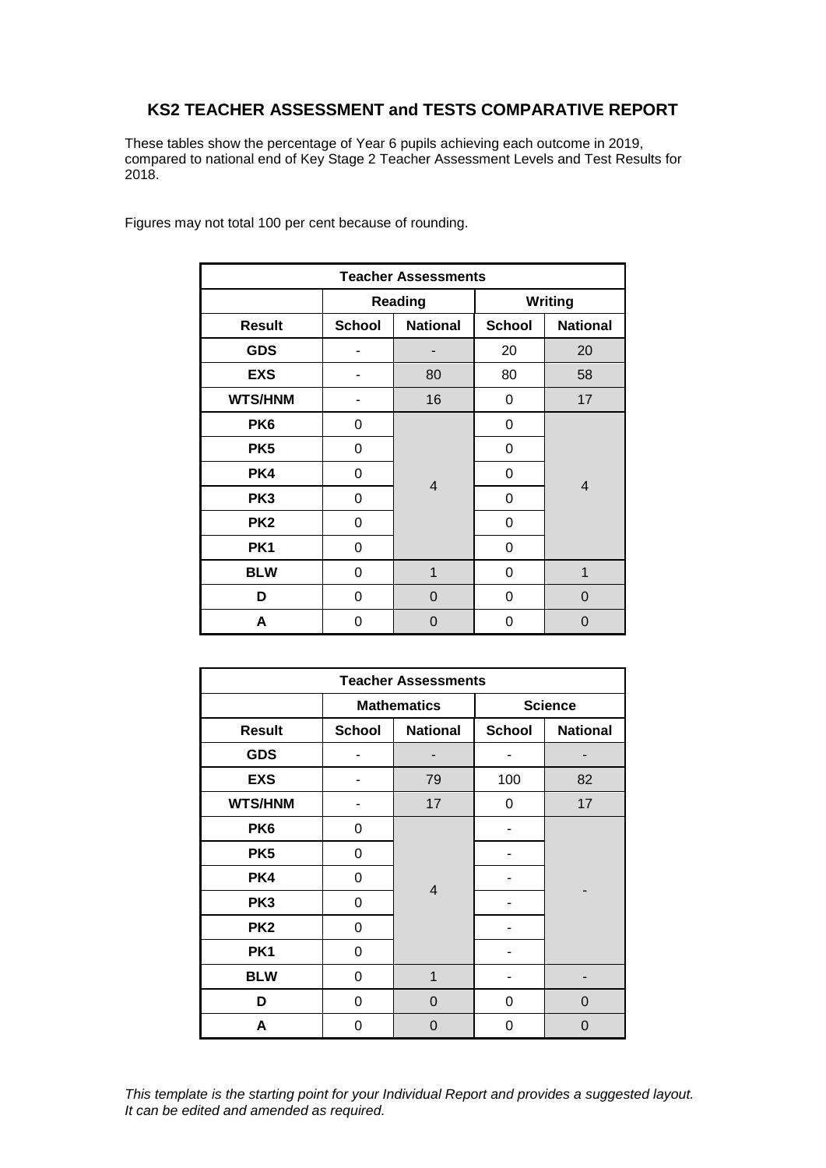## **KS2 TEACHER ASSESSMENT and TESTS COMPARATIVE REPORT**

These tables show the percentage of Year 6 pupils achieving each outcome in 2019, compared to national end of Key Stage 2 Teacher Assessment Levels and Test Results for 2018.

| <b>Teacher Assessments</b> |               |                     |                |                 |  |  |  |
|----------------------------|---------------|---------------------|----------------|-----------------|--|--|--|
|                            |               | <b>Reading</b>      | <b>Writing</b> |                 |  |  |  |
| <b>Result</b>              | <b>School</b> | <b>National</b>     | <b>School</b>  | <b>National</b> |  |  |  |
| <b>GDS</b>                 | 20            |                     |                | 20              |  |  |  |
| <b>EXS</b>                 |               | 80<br>80            |                | 58              |  |  |  |
| <b>WTS/HNM</b>             |               | 16                  | 0              | 17              |  |  |  |
| PK <sub>6</sub>            | 0             |                     | 0              | $\overline{4}$  |  |  |  |
| PK <sub>5</sub>            | 0             |                     | 0              |                 |  |  |  |
| PK4                        | 0             |                     | 0              |                 |  |  |  |
| PK <sub>3</sub>            | 0             | $\overline{4}$      | 0              |                 |  |  |  |
| PK <sub>2</sub>            | 0             |                     | 0              |                 |  |  |  |
| PK <sub>1</sub>            | 0             |                     | 0              |                 |  |  |  |
| <b>BLW</b>                 | 0             | $\overline{1}$<br>0 |                | 1               |  |  |  |
| D                          | 0             | 0                   | 0              | 0               |  |  |  |
| А                          | 0             | 0                   | 0              | 0               |  |  |  |

Figures may not total 100 per cent because of rounding.

| <b>Teacher Assessments</b> |               |                    |                |                 |  |  |  |
|----------------------------|---------------|--------------------|----------------|-----------------|--|--|--|
|                            |               | <b>Mathematics</b> | <b>Science</b> |                 |  |  |  |
| <b>Result</b>              | <b>School</b> | <b>National</b>    | <b>School</b>  | <b>National</b> |  |  |  |
| <b>GDS</b>                 |               |                    |                |                 |  |  |  |
| <b>EXS</b>                 |               | 79                 | 100            | 82              |  |  |  |
| <b>WTS/HNM</b>             |               | 17                 | 0              | 17              |  |  |  |
| PK <sub>6</sub>            | 0             |                    |                |                 |  |  |  |
| PK <sub>5</sub>            | 0             |                    |                |                 |  |  |  |
| PK4                        | 0             |                    |                |                 |  |  |  |
| PK <sub>3</sub>            | 0             | $\overline{4}$     |                |                 |  |  |  |
| PK <sub>2</sub>            | 0             |                    |                |                 |  |  |  |
| PK <sub>1</sub>            | 0             |                    |                |                 |  |  |  |
| <b>BLW</b>                 | 0             | $\mathbf{1}$       |                |                 |  |  |  |
| D                          | 0             | 0                  | 0              |                 |  |  |  |
| A                          | 0             | 0                  | 0              | 0               |  |  |  |

*This template is the starting point for your Individual Report and provides a suggested layout. It can be edited and amended as required.*